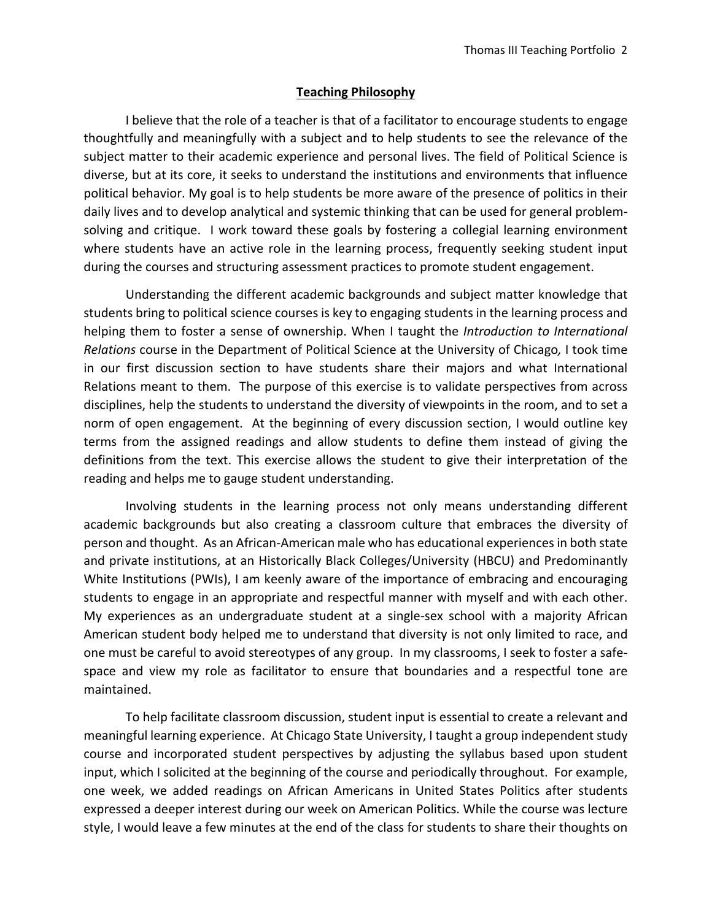## **Teaching Philosophy**

 I believe that the role of a teacher is that of a facilitator to encourage students to engage thoughtfully and meaningfully with a subject and to help students to see the relevance of the subject matter to their academic experience and personal lives. The field of Political Science is diverse, but at its core, it seeks to understand the institutions and environments that influence political behavior. My goal is to help students be more aware of the presence of politics in their daily lives and to develop analytical and systemic thinking that can be used for general problem‐ solving and critique. I work toward these goals by fostering a collegial learning environment where students have an active role in the learning process, frequently seeking student input during the courses and structuring assessment practices to promote student engagement.

Understanding the different academic backgrounds and subject matter knowledge that students bring to political science courses is key to engaging students in the learning process and helping them to foster a sense of ownership. When I taught the *Introduction to International Relations* course in the Department of Political Science at the University of Chicago*,* I took time in our first discussion section to have students share their majors and what International Relations meant to them. The purpose of this exercise is to validate perspectives from across disciplines, help the students to understand the diversity of viewpoints in the room, and to set a norm of open engagement. At the beginning of every discussion section, I would outline key terms from the assigned readings and allow students to define them instead of giving the definitions from the text. This exercise allows the student to give their interpretation of the reading and helps me to gauge student understanding.

Involving students in the learning process not only means understanding different academic backgrounds but also creating a classroom culture that embraces the diversity of person and thought. As an African‐American male who has educational experiences in both state and private institutions, at an Historically Black Colleges/University (HBCU) and Predominantly White Institutions (PWIs), I am keenly aware of the importance of embracing and encouraging students to engage in an appropriate and respectful manner with myself and with each other. My experiences as an undergraduate student at a single-sex school with a majority African American student body helped me to understand that diversity is not only limited to race, and one must be careful to avoid stereotypes of any group. In my classrooms, I seek to foster a safe‐ space and view my role as facilitator to ensure that boundaries and a respectful tone are maintained.

To help facilitate classroom discussion, student input is essential to create a relevant and meaningful learning experience. At Chicago State University, I taught a group independent study course and incorporated student perspectives by adjusting the syllabus based upon student input, which I solicited at the beginning of the course and periodically throughout. For example, one week, we added readings on African Americans in United States Politics after students expressed a deeper interest during our week on American Politics. While the course was lecture style, I would leave a few minutes at the end of the class for students to share their thoughts on